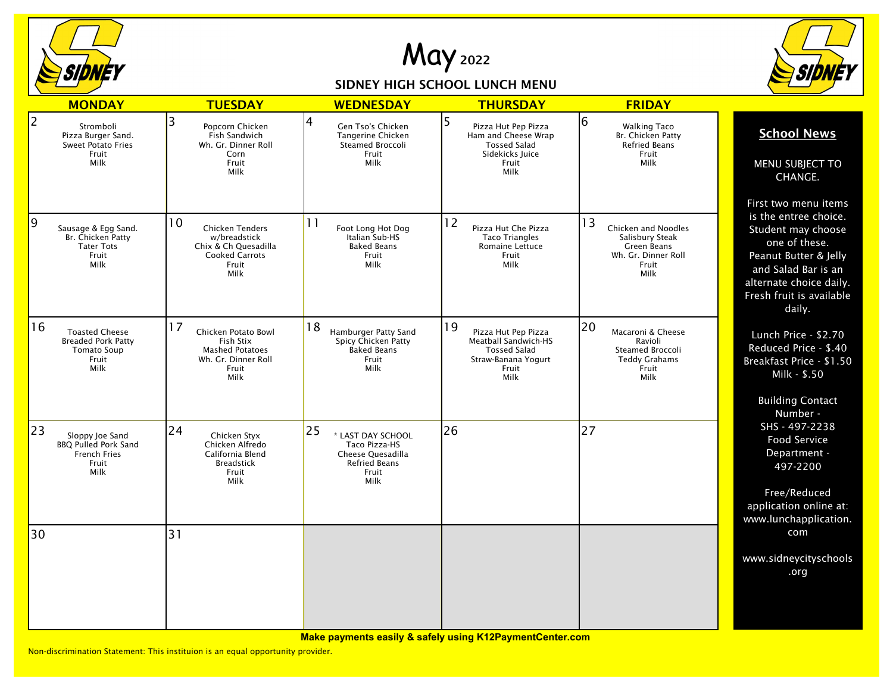

May <sup>2022</sup>

## SIDNEY HIGH SCHOOL LUNCH MENU



|                | <b>MONDAY</b>                                                                             | <b>TUESDAY</b>                                                                                                 | <b>WEDNESDAY</b>                                                                                       | <b>THURSDAY</b>                                                                                                  | <b>FRIDAY</b>                                                                                       |                                                                                                                                                                                                       |
|----------------|-------------------------------------------------------------------------------------------|----------------------------------------------------------------------------------------------------------------|--------------------------------------------------------------------------------------------------------|------------------------------------------------------------------------------------------------------------------|-----------------------------------------------------------------------------------------------------|-------------------------------------------------------------------------------------------------------------------------------------------------------------------------------------------------------|
| $\overline{2}$ | Stromboli<br>Pizza Burger Sand.<br><b>Sweet Potato Fries</b><br>Fruit<br>Milk             | 3<br>Popcorn Chicken<br>Fish Sandwich<br>Wh. Gr. Dinner Roll<br>Corn<br>Fruit<br>Milk                          | 4<br>Gen Tso's Chicken<br>Tangerine Chicken<br>Steamed Broccoli<br>Fruit<br>Milk                       | 5<br>Pizza Hut Pep Pizza<br>Ham and Cheese Wrap<br><b>Tossed Salad</b><br>Sidekicks luice<br>Fruit<br>Milk       | 6<br><b>Walking Taco</b><br>Br. Chicken Patty<br><b>Refried Beans</b><br>Fruit<br>Milk              | <b>School News</b><br>MENU SUBJECT TO<br>CHANGE.                                                                                                                                                      |
| 9              | Sausage & Egg Sand.<br>Br. Chicken Patty<br><b>Tater Tots</b><br>Fruit<br>Milk            | 10<br><b>Chicken Tenders</b><br>w/breadstick<br>Chix & Ch Quesadilla<br><b>Cooked Carrots</b><br>Fruit<br>Milk | 11<br>Foot Long Hot Dog<br>Italian Sub-HS<br><b>Baked Beans</b><br>Fruit<br>Milk                       | 12<br>Pizza Hut Che Pizza<br><b>Taco Triangles</b><br><b>Romaine Lettuce</b><br>Fruit<br>Milk                    | 13<br>Chicken and Noodles<br>Salisbury Steak<br>Green Beans<br>Wh. Gr. Dinner Roll<br>Fruit<br>Milk | First two menu items<br>is the entree choice.<br>Student may choose<br>one of these.<br>Peanut Butter & Jelly<br>and Salad Bar is an<br>alternate choice daily.<br>Fresh fruit is available<br>daily. |
| 16             | <b>Toasted Cheese</b><br><b>Breaded Pork Patty</b><br><b>Tomato Soup</b><br>Fruit<br>Milk | 17<br>Chicken Potato Bowl<br>Fish Stix<br><b>Mashed Potatoes</b><br>Wh. Gr. Dinner Roll<br>Fruit<br>Milk       | 18<br>Hamburger Patty Sand<br>Spicy Chicken Patty<br><b>Baked Beans</b><br>Fruit<br>Milk               | 19<br>Pizza Hut Pep Pizza<br>Meatball Sandwich-HS<br><b>Tossed Salad</b><br>Straw-Banana Yogurt<br>Fruit<br>Milk | 20<br>Macaroni & Cheese<br>Ravioli<br>Steamed Broccoli<br><b>Teddy Grahams</b><br>Fruit<br>Milk     | Lunch Price - \$2.70<br>Reduced Price - \$.40<br>Breakfast Price - \$1.50<br>Milk - \$.50<br><b>Building Contact</b><br>Number -                                                                      |
| 23             | Sloppy Joe Sand<br><b>BBQ Pulled Pork Sand</b><br><b>French Fries</b><br>Fruit<br>Milk    | 24<br>Chicken Styx<br>Chicken Alfredo<br>California Blend<br><b>Breadstick</b><br>Fruit<br>Milk                | 25<br>* LAST DAY SCHOOL<br>Taco Pizza-HS<br>Cheese Quesadilla<br><b>Refried Beans</b><br>Fruit<br>Milk | 26                                                                                                               | 27                                                                                                  | SHS - 497-2238<br>Food Service<br>Department -<br>497-2200<br>Free/Reduced<br>application online at:<br>www.lunchapplication.                                                                         |
| 30             |                                                                                           | 31                                                                                                             |                                                                                                        |                                                                                                                  |                                                                                                     | com<br>www.sidneycityschools<br>.org                                                                                                                                                                  |

**Make payments easily & safely using K12PaymentCenter.com**

Non-discrimination Statement: This instituion is an equal opportunity provider.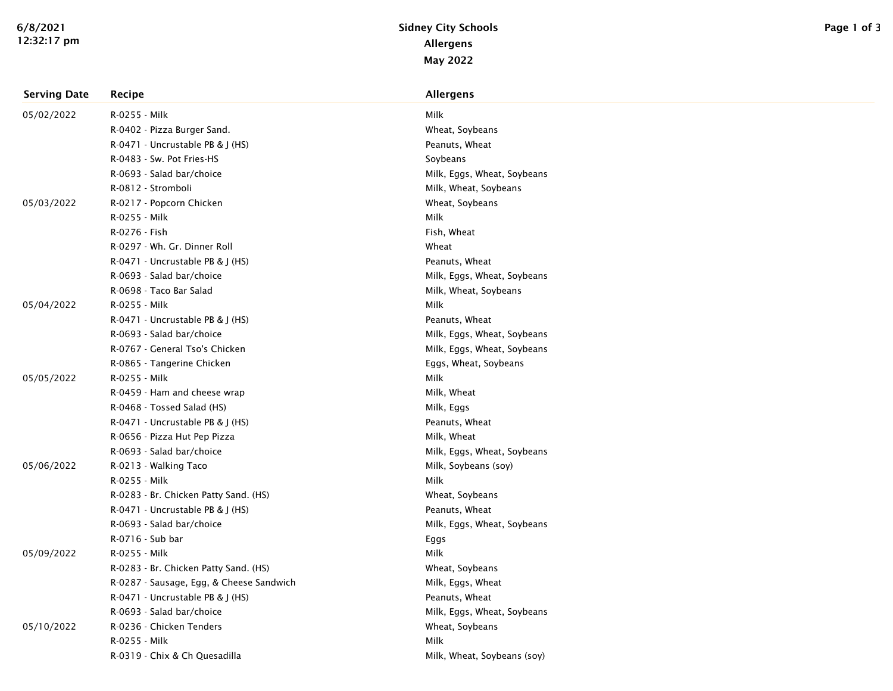| <b>Serving Date</b> | Recipe                                   | <b>Allergens</b>            |
|---------------------|------------------------------------------|-----------------------------|
| 05/02/2022          | R-0255 - Milk                            | Milk                        |
|                     | R-0402 - Pizza Burger Sand.              | Wheat, Soybeans             |
|                     | R-0471 - Uncrustable PB & J (HS)         | Peanuts, Wheat              |
|                     | R-0483 - Sw. Pot Fries-HS                | Soybeans                    |
|                     | R-0693 - Salad bar/choice                | Milk, Eggs, Wheat, Soybeans |
|                     | R-0812 - Stromboli                       | Milk, Wheat, Soybeans       |
| 05/03/2022          | R-0217 - Popcorn Chicken                 | Wheat, Soybeans             |
|                     | R-0255 - Milk                            | Milk                        |
|                     | R-0276 - Fish                            | Fish, Wheat                 |
|                     | R-0297 - Wh. Gr. Dinner Roll             | Wheat                       |
|                     | R-0471 - Uncrustable PB & J (HS)         | Peanuts, Wheat              |
|                     | R-0693 - Salad bar/choice                | Milk, Eggs, Wheat, Soybeans |
|                     | R-0698 - Taco Bar Salad                  | Milk, Wheat, Soybeans       |
| 05/04/2022          | R-0255 - Milk                            | Milk                        |
|                     | R-0471 - Uncrustable PB & J (HS)         | Peanuts, Wheat              |
|                     | R-0693 - Salad bar/choice                | Milk, Eggs, Wheat, Soybeans |
|                     | R-0767 - General Tso's Chicken           | Milk, Eggs, Wheat, Soybeans |
|                     | R-0865 - Tangerine Chicken               | Eggs, Wheat, Soybeans       |
| 05/05/2022          | R-0255 - Milk                            | Milk                        |
|                     | R-0459 - Ham and cheese wrap             | Milk, Wheat                 |
|                     | R-0468 - Tossed Salad (HS)               | Milk, Eggs                  |
|                     | R-0471 - Uncrustable PB & J (HS)         | Peanuts, Wheat              |
|                     | R-0656 - Pizza Hut Pep Pizza             | Milk, Wheat                 |
|                     | R-0693 - Salad bar/choice                | Milk, Eggs, Wheat, Soybeans |
| 05/06/2022          | R-0213 - Walking Taco                    | Milk, Soybeans (soy)        |
|                     | R-0255 - Milk                            | Milk                        |
|                     | R-0283 - Br. Chicken Patty Sand. (HS)    | Wheat, Soybeans             |
|                     | R-0471 - Uncrustable PB & J (HS)         | Peanuts, Wheat              |
|                     | R-0693 - Salad bar/choice                | Milk, Eggs, Wheat, Soybeans |
|                     | R-0716 - Sub bar                         | Eggs                        |
| 05/09/2022          | R-0255 - Milk                            | Milk                        |
|                     | R-0283 - Br. Chicken Patty Sand. (HS)    | Wheat, Soybeans             |
|                     | R-0287 - Sausage, Egg, & Cheese Sandwich | Milk, Eggs, Wheat           |
|                     | R-0471 - Uncrustable PB & J (HS)         | Peanuts, Wheat              |
|                     | R-0693 - Salad bar/choice                | Milk, Eggs, Wheat, Soybeans |
| 05/10/2022          | R-0236 - Chicken Tenders                 | Wheat, Soybeans             |
|                     | R-0255 - Milk                            | Milk                        |
|                     | R-0319 - Chix & Ch Quesadilla            | Milk, Wheat, Soybeans (soy) |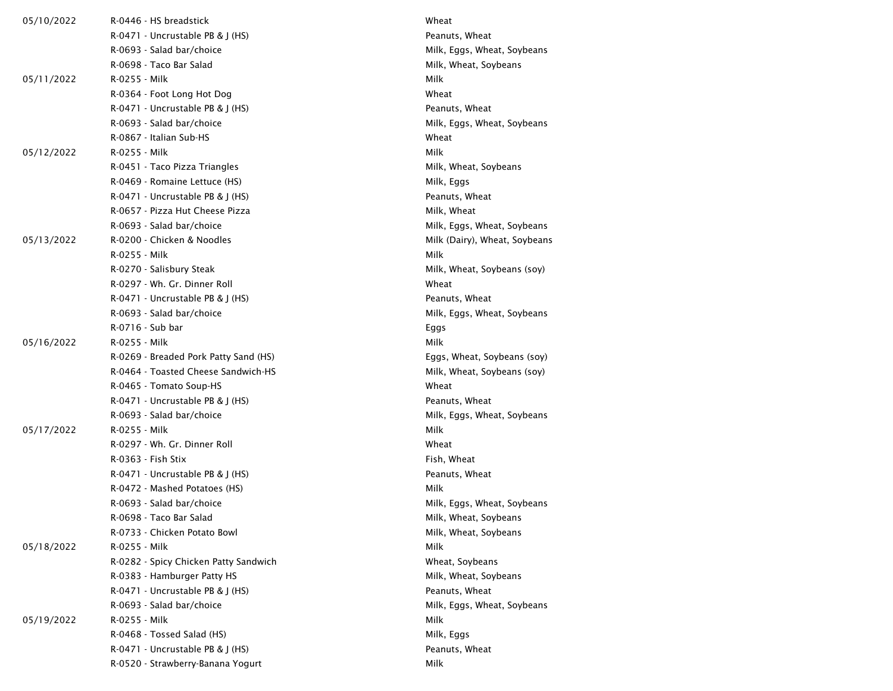| 05/10/2022 | R-0446 - HS breadstick                | Wheat                         |
|------------|---------------------------------------|-------------------------------|
|            | $R-0471$ - Uncrustable PB & I (HS)    | Peanuts, Wheat                |
|            | R-0693 - Salad bar/choice             | Milk, Eggs, Wheat, Soybeans   |
|            | R-0698 - Taco Bar Salad               | Milk, Wheat, Soybeans         |
| 05/11/2022 | R-0255 - Milk                         | Milk                          |
|            | R-0364 - Foot Long Hot Dog            | Wheat                         |
|            | R-0471 - Uncrustable PB & J (HS)      | Peanuts, Wheat                |
|            | R-0693 - Salad bar/choice             | Milk, Eggs, Wheat, Soybeans   |
|            | R-0867 - Italian Sub-HS               | Wheat                         |
| 05/12/2022 | R-0255 - Milk                         | Milk                          |
|            | R-0451 - Taco Pizza Triangles         | Milk, Wheat, Soybeans         |
|            | R-0469 - Romaine Lettuce (HS)         | Milk, Eggs                    |
|            | $R-0471$ - Uncrustable PB & J (HS)    | Peanuts, Wheat                |
|            | R-0657 - Pizza Hut Cheese Pizza       | Milk, Wheat                   |
|            | R-0693 - Salad bar/choice             | Milk, Eggs, Wheat, Soybeans   |
| 05/13/2022 | R-0200 - Chicken & Noodles            | Milk (Dairy), Wheat, Soybeans |
|            | R-0255 - Milk                         | Milk                          |
|            | R-0270 - Salisbury Steak              | Milk, Wheat, Soybeans (soy)   |
|            | R-0297 - Wh. Gr. Dinner Roll          | Wheat                         |
|            | R-0471 - Uncrustable PB & J (HS)      | Peanuts, Wheat                |
|            | R-0693 - Salad bar/choice             | Milk, Eggs, Wheat, Soybeans   |
|            | R-0716 - Sub bar                      | Eggs                          |
| 05/16/2022 | R-0255 - Milk                         | Milk                          |
|            | R-0269 - Breaded Pork Patty Sand (HS) | Eggs, Wheat, Soybeans (soy)   |
|            | R-0464 - Toasted Cheese Sandwich-HS   | Milk, Wheat, Soybeans (soy)   |
|            | R-0465 - Tomato Soup-HS               | Wheat                         |
|            | $R-0471$ - Uncrustable PB & J (HS)    | Peanuts, Wheat                |
|            | R-0693 - Salad bar/choice             | Milk, Eggs, Wheat, Soybeans   |
| 05/17/2022 | R-0255 - Milk                         | Milk                          |
|            | R-0297 - Wh. Gr. Dinner Roll          | Wheat                         |
|            | R-0363 - Fish Stix                    | Fish, Wheat                   |
|            | $R-0471$ - Uncrustable PB & J (HS)    | Peanuts, Wheat                |
|            | R-0472 - Mashed Potatoes (HS)         | Milk                          |
|            | R-0693 - Salad bar/choice             | Milk, Eggs, Wheat, Soybeans   |
|            | R-0698 - Taco Bar Salad               | Milk, Wheat, Soybeans         |
|            | R-0733 - Chicken Potato Bowl          | Milk, Wheat, Soybeans         |
| 05/18/2022 | R-0255 - Milk                         | Milk                          |
|            | R-0282 - Spicy Chicken Patty Sandwich | Wheat, Soybeans               |
|            | R-0383 - Hamburger Patty HS           | Milk, Wheat, Soybeans         |
|            | R-0471 - Uncrustable PB & J (HS)      | Peanuts, Wheat                |
|            | R-0693 - Salad bar/choice             | Milk, Eggs, Wheat, Soybeans   |
| 05/19/2022 | R-0255 - Milk                         | Milk                          |
|            | R-0468 - Tossed Salad (HS)            | Milk, Eggs                    |
|            | R-0471 - Uncrustable PB & J (HS)      | Peanuts, Wheat                |
|            | R-0520 - Strawberry-Banana Yogurt     | Milk                          |